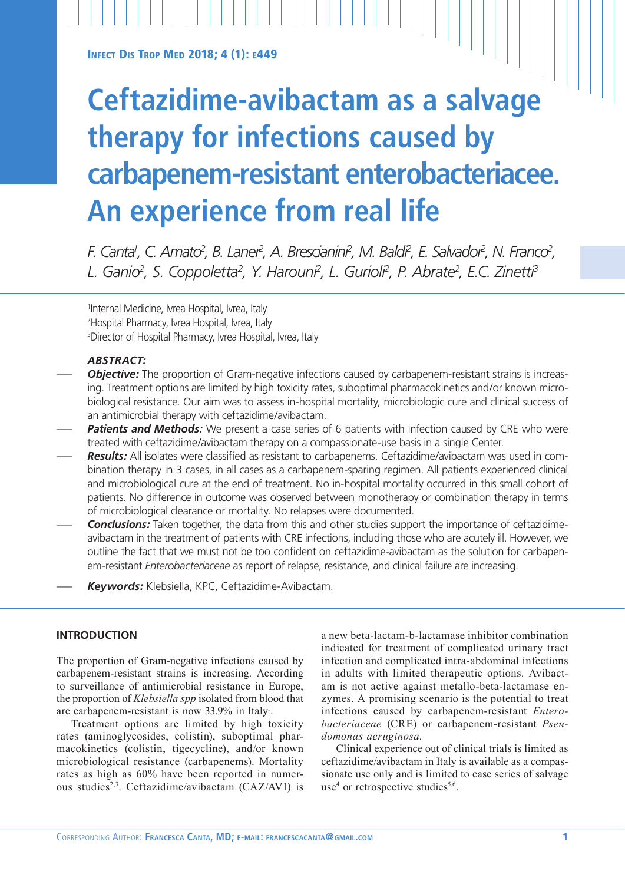**INFECT DIS TROP MED 2018; 4 (1): E449** 

# **Ceftazidime-avibactam as a salvage therapy for infections caused by carbapenem-resistant enterobacteriacee. An experience from real life**

*F. Canta<sup>i</sup>, C. Amato<sup>2</sup>, B. Laner<sup>2</sup>, A. Brescianini<sup>2</sup>, M. Baldi<sup>2</sup>, E. Salvador<sup>2</sup>, N. Franco<sup>2</sup>, L. Ganio2 , S. Coppoletta2 , Y. Harouni2 , L. Gurioli2 , P. Abrate2 , E.C. Zinetti3*

1 Internal Medicine, Ivrea Hospital, Ivrea, Italy 2 Hospital Pharmacy, Ivrea Hospital, Ivrea, Italy 3 Director of Hospital Pharmacy, Ivrea Hospital, Ivrea, Italy

# *ABSTRACT:*

- **Objective:** The proportion of Gram-negative infections caused by carbapenem-resistant strains is increasing. Treatment options are limited by high toxicity rates, suboptimal pharmacokinetics and/or known microbiological resistance. Our aim was to assess in-hospital mortality, microbiologic cure and clinical success of an antimicrobial therapy with ceftazidime/avibactam.
- **Patients and Methods:** We present a case series of 6 patients with infection caused by CRE who were treated with ceftazidime/avibactam therapy on a compassionate-use basis in a single Center.
- *Results:* All isolates were classified as resistant to carbapenems. Ceftazidime/avibactam was used in combination therapy in 3 cases, in all cases as a carbapenem-sparing regimen. All patients experienced clinical and microbiological cure at the end of treatment. No in-hospital mortality occurred in this small cohort of patients. No difference in outcome was observed between monotherapy or combination therapy in terms of microbiological clearance or mortality. No relapses were documented.
- *Conclusions:* Taken together, the data from this and other studies support the importance of ceftazidimeavibactam in the treatment of patients with CRE infections, including those who are acutely ill. However, we outline the fact that we must not be too confident on ceftazidime-avibactam as the solution for carbapenem-resistant *Enterobacteriaceae* as report of relapse, resistance, and clinical failure are increasing.
- *Keywords:* Klebsiella, KPC, Ceftazidime-Avibactam.

## **INTRODUCTION**

The proportion of Gram-negative infections caused by carbapenem-resistant strains is increasing. According to surveillance of antimicrobial resistance in Europe, the proportion of *Klebsiella spp* isolated from blood that are carbapenem-resistant is now 33.9% in Italy<sup>1</sup>.

Treatment options are limited by high toxicity rates (aminoglycosides, colistin), suboptimal pharmacokinetics (colistin, tigecycline), and/or known microbiological resistance (carbapenems). Mortality rates as high as 60% have been reported in numerous studies2,3. Ceftazidime/avibactam (CAZ/AVI) is a new beta-lactam-b-lactamase inhibitor combination indicated for treatment of complicated urinary tract infection and complicated intra-abdominal infections in adults with limited therapeutic options. Avibactam is not active against metallo-beta-lactamase enzymes. A promising scenario is the potential to treat infections caused by carbapenem-resistant *Enterobacteriaceae* (CRE) or carbapenem-resistant *Pseudomonas aeruginosa.*

Clinical experience out of clinical trials is limited as ceftazidime/avibactam in Italy is available as a compassionate use only and is limited to case series of salvage use<sup>4</sup> or retrospective studies<sup>5,6</sup>.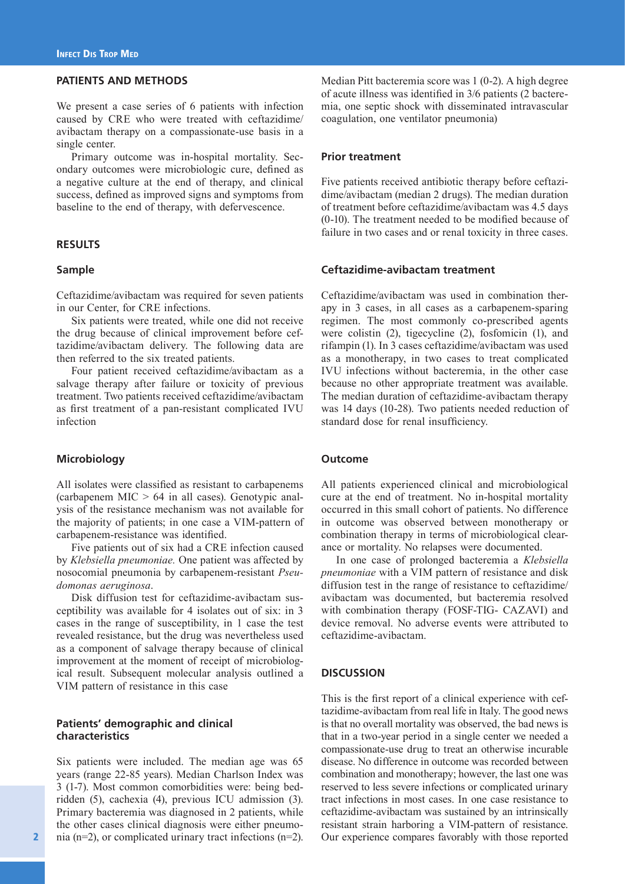# **PATIENTS AND METHODS**

We present a case series of 6 patients with infection caused by CRE who were treated with ceftazidime/ avibactam therapy on a compassionate-use basis in a single center.

Primary outcome was in-hospital mortality. Secondary outcomes were microbiologic cure, defined as a negative culture at the end of therapy, and clinical success, defined as improved signs and symptoms from baseline to the end of therapy, with defervescence.

#### **RESULTS**

## **Sample**

Ceftazidime/avibactam was required for seven patients in our Center, for CRE infections.

Six patients were treated, while one did not receive the drug because of clinical improvement before ceftazidime/avibactam delivery. The following data are then referred to the six treated patients.

Four patient received ceftazidime/avibactam as a salvage therapy after failure or toxicity of previous treatment. Two patients received ceftazidime/avibactam as first treatment of a pan-resistant complicated IVU infection

## **Microbiology**

All isolates were classified as resistant to carbapenems (carbapenem  $MIC > 64$  in all cases). Genotypic analysis of the resistance mechanism was not available for the majority of patients; in one case a VIM-pattern of carbapenem-resistance was identified.

Five patients out of six had a CRE infection caused by *Klebsiella pneumoniae.* One patient was affected by nosocomial pneumonia by carbapenem-resistant *Pseudomonas aeruginosa*.

Disk diffusion test for ceftazidime-avibactam susceptibility was available for 4 isolates out of six: in 3 cases in the range of susceptibility, in 1 case the test revealed resistance, but the drug was nevertheless used as a component of salvage therapy because of clinical improvement at the moment of receipt of microbiological result. Subsequent molecular analysis outlined a VIM pattern of resistance in this case

# **Patients' demographic and clinical characteristics**

Six patients were included. The median age was 65 years (range 22-85 years). Median Charlson Index was 3 (1-7). Most common comorbidities were: being bedridden (5), cachexia (4), previous ICU admission (3). Primary bacteremia was diagnosed in 2 patients, while the other cases clinical diagnosis were either pneumonia (n=2), or complicated urinary tract infections (n=2). Median Pitt bacteremia score was 1 (0-2). A high degree of acute illness was identified in 3/6 patients (2 bacteremia, one septic shock with disseminated intravascular coagulation, one ventilator pneumonia)

# **Prior treatment**

Five patients received antibiotic therapy before ceftazidime/avibactam (median 2 drugs). The median duration of treatment before ceftazidime/avibactam was 4.5 days (0-10). The treatment needed to be modified because of failure in two cases and or renal toxicity in three cases.

# **Ceftazidime-avibactam treatment**

Ceftazidime/avibactam was used in combination therapy in 3 cases, in all cases as a carbapenem-sparing regimen. The most commonly co-prescribed agents were colistin (2), tigecycline (2), fosfomicin (1), and rifampin (1). In 3 cases ceftazidime/avibactam was used as a monotherapy, in two cases to treat complicated IVU infections without bacteremia, in the other case because no other appropriate treatment was available. The median duration of ceftazidime-avibactam therapy was 14 days (10-28). Two patients needed reduction of standard dose for renal insufficiency.

#### **Outcome**

All patients experienced clinical and microbiological cure at the end of treatment. No in-hospital mortality occurred in this small cohort of patients. No difference in outcome was observed between monotherapy or combination therapy in terms of microbiological clearance or mortality. No relapses were documented.

In one case of prolonged bacteremia a *Klebsiella pneumoniae* with a VIM pattern of resistance and disk diffusion test in the range of resistance to ceftazidime/ avibactam was documented, but bacteremia resolved with combination therapy (FOSF-TIG- CAZAVI) and device removal. No adverse events were attributed to ceftazidime-avibactam.

# **DISCUSSION**

This is the first report of a clinical experience with ceftazidime-avibactam from real life in Italy. The good news is that no overall mortality was observed, the bad news is that in a two-year period in a single center we needed a compassionate-use drug to treat an otherwise incurable disease. No difference in outcome was recorded between combination and monotherapy; however, the last one was reserved to less severe infections or complicated urinary tract infections in most cases. In one case resistance to ceftazidime-avibactam was sustained by an intrinsically resistant strain harboring a VIM-pattern of resistance. Our experience compares favorably with those reported